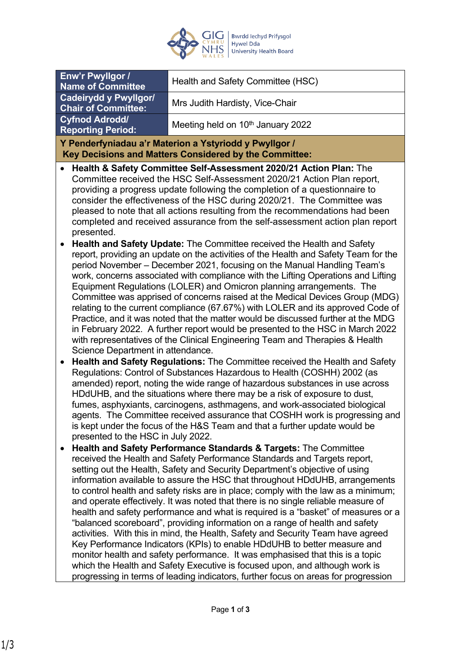

| Enw'r Pwyllgor /<br><b>Name of Committee</b>                                                                                                                                                                                                                                                                                                                                                                                                                                                                                                                                                                                                                                                                                                                                                                                                                                                                                                                                                                                                                                     | Health and Safety Committee (HSC)             |
|----------------------------------------------------------------------------------------------------------------------------------------------------------------------------------------------------------------------------------------------------------------------------------------------------------------------------------------------------------------------------------------------------------------------------------------------------------------------------------------------------------------------------------------------------------------------------------------------------------------------------------------------------------------------------------------------------------------------------------------------------------------------------------------------------------------------------------------------------------------------------------------------------------------------------------------------------------------------------------------------------------------------------------------------------------------------------------|-----------------------------------------------|
| <b>Cadeirydd y Pwyllgor/</b>                                                                                                                                                                                                                                                                                                                                                                                                                                                                                                                                                                                                                                                                                                                                                                                                                                                                                                                                                                                                                                                     | Mrs Judith Hardisty, Vice-Chair               |
| <b>Chair of Committee:</b><br><b>Cyfnod Adrodd/</b>                                                                                                                                                                                                                                                                                                                                                                                                                                                                                                                                                                                                                                                                                                                                                                                                                                                                                                                                                                                                                              |                                               |
| <b>Reporting Period:</b>                                                                                                                                                                                                                                                                                                                                                                                                                                                                                                                                                                                                                                                                                                                                                                                                                                                                                                                                                                                                                                                         | Meeting held on 10 <sup>th</sup> January 2022 |
| Y Penderfyniadau a'r Materion a Ystyriodd y Pwyllgor /                                                                                                                                                                                                                                                                                                                                                                                                                                                                                                                                                                                                                                                                                                                                                                                                                                                                                                                                                                                                                           |                                               |
| Key Decisions and Matters Considered by the Committee:                                                                                                                                                                                                                                                                                                                                                                                                                                                                                                                                                                                                                                                                                                                                                                                                                                                                                                                                                                                                                           |                                               |
| Health & Safety Committee Self-Assessment 2020/21 Action Plan: The<br>$\bullet$<br>Committee received the HSC Self-Assessment 2020/21 Action Plan report,<br>providing a progress update following the completion of a questionnaire to<br>consider the effectiveness of the HSC during 2020/21. The Committee was<br>pleased to note that all actions resulting from the recommendations had been<br>completed and received assurance from the self-assessment action plan report<br>presented.                                                                                                                                                                                                                                                                                                                                                                                                                                                                                                                                                                                 |                                               |
| Health and Safety Update: The Committee received the Health and Safety<br>$\bullet$<br>report, providing an update on the activities of the Health and Safety Team for the<br>period November - December 2021, focusing on the Manual Handling Team's<br>work, concerns associated with compliance with the Lifting Operations and Lifting<br>Equipment Regulations (LOLER) and Omicron planning arrangements. The<br>Committee was apprised of concerns raised at the Medical Devices Group (MDG)<br>relating to the current compliance (67.67%) with LOLER and its approved Code of<br>Practice, and it was noted that the matter would be discussed further at the MDG<br>in February 2022. A further report would be presented to the HSC in March 2022<br>with representatives of the Clinical Engineering Team and Therapies & Health<br>Science Department in attendance.<br>Health and Safety Regulations: The Committee received the Health and Safety<br>Regulations: Control of Substances Hazardous to Health (COSHH) 2002 (as                                       |                                               |
| amended) report, noting the wide range of hazardous substances in use across<br>HDdUHB, and the situations where there may be a risk of exposure to dust,<br>fumes, asphyxiants, carcinogens, asthmagens, and work-associated biological<br>agents. The Committee received assurance that COSHH work is progressing and<br>is kept under the focus of the H&S Team and that a further update would be<br>presented to the HSC in July 2022.                                                                                                                                                                                                                                                                                                                                                                                                                                                                                                                                                                                                                                      |                                               |
| Health and Safety Performance Standards & Targets: The Committee<br>received the Health and Safety Performance Standards and Targets report,<br>setting out the Health, Safety and Security Department's objective of using<br>information available to assure the HSC that throughout HDdUHB, arrangements<br>to control health and safety risks are in place; comply with the law as a minimum;<br>and operate effectively. It was noted that there is no single reliable measure of<br>health and safety performance and what is required is a "basket" of measures or a<br>"balanced scoreboard", providing information on a range of health and safety<br>activities. With this in mind, the Health, Safety and Security Team have agreed<br>Key Performance Indicators (KPIs) to enable HDdUHB to better measure and<br>monitor health and safety performance. It was emphasised that this is a topic<br>which the Health and Safety Executive is focused upon, and although work is<br>progressing in terms of leading indicators, further focus on areas for progression |                                               |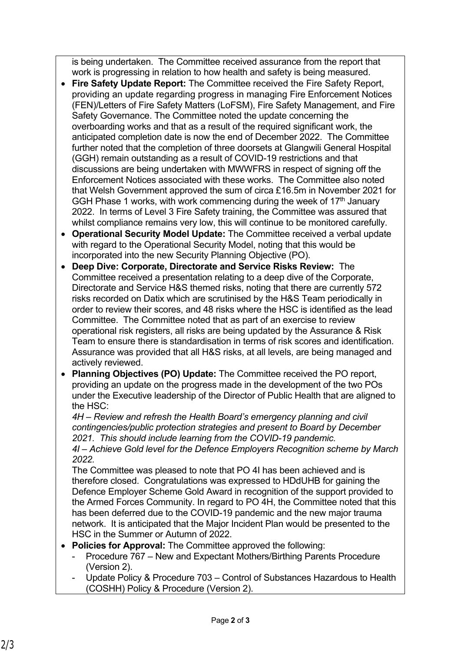is being undertaken. The Committee received assurance from the report that work is progressing in relation to how health and safety is being measured.

- **Fire Safety Update Report:** The Committee received the Fire Safety Report, providing an update regarding progress in managing Fire Enforcement Notices (FEN)/Letters of Fire Safety Matters (LoFSM), Fire Safety Management, and Fire Safety Governance. The Committee noted the update concerning the overboarding works and that as a result of the required significant work, the anticipated completion date is now the end of December 2022. The Committee further noted that the completion of three doorsets at Glangwili General Hospital (GGH) remain outstanding as a result of COVID-19 restrictions and that discussions are being undertaken with MWWFRS in respect of signing off the Enforcement Notices associated with these works. The Committee also noted that Welsh Government approved the sum of circa £16.5m in November 2021 for GGH Phase 1 works, with work commencing during the week of  $17<sup>th</sup>$  January 2022. In terms of Level 3 Fire Safety training, the Committee was assured that whilst compliance remains very low, this will continue to be monitored carefully.
- **Operational Security Model Update:** The Committee received a verbal update with regard to the Operational Security Model, noting that this would be incorporated into the new Security Planning Objective (PO).
- **Deep Dive: Corporate, Directorate and Service Risks Review:** The Committee received a presentation relating to a deep dive of the Corporate, Directorate and Service H&S themed risks, noting that there are currently 572 risks recorded on Datix which are scrutinised by the H&S Team periodically in order to review their scores, and 48 risks where the HSC is identified as the lead Committee. The Committee noted that as part of an exercise to review operational risk registers, all risks are being updated by the Assurance & Risk Team to ensure there is standardisation in terms of risk scores and identification. Assurance was provided that all H&S risks, at all levels, are being managed and actively reviewed.
- **Planning Objectives (PO) Update:** The Committee received the PO report, providing an update on the progress made in the development of the two POs under the Executive leadership of the Director of Public Health that are aligned to the HSC:

*4H – Review and refresh the Health Board's emergency planning and civil contingencies/public protection strategies and present to Board by December 2021. This should include learning from the COVID-19 pandemic.*

*4I – Achieve Gold level for the Defence Employers Recognition scheme by March 2022.*

The Committee was pleased to note that PO 4I has been achieved and is therefore closed. Congratulations was expressed to HDdUHB for gaining the Defence Employer Scheme Gold Award in recognition of the support provided to the Armed Forces Community. In regard to PO 4H, the Committee noted that this has been deferred due to the COVID-19 pandemic and the new major trauma network. It is anticipated that the Major Incident Plan would be presented to the HSC in the Summer or Autumn of 2022.

- **Policies for Approval:** The Committee approved the following:
	- Procedure 767 New and Expectant Mothers/Birthing Parents Procedure (Version 2).
	- Update Policy & Procedure 703 Control of Substances Hazardous to Health (COSHH) Policy & Procedure (Version 2).